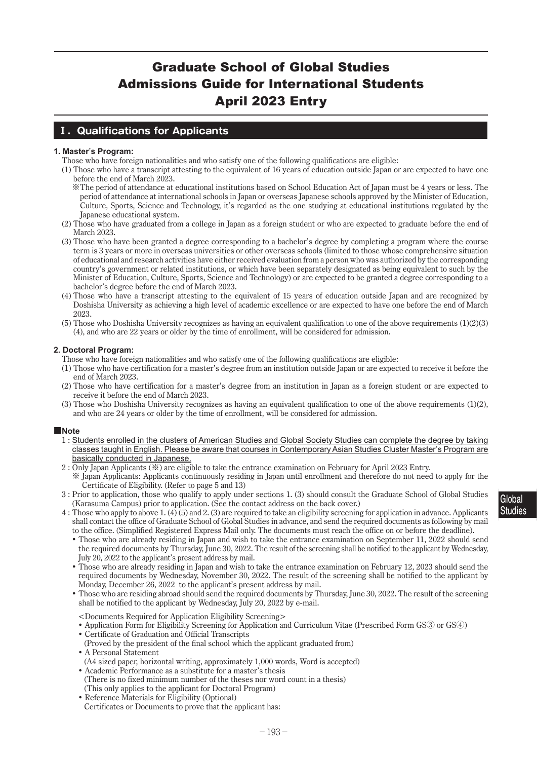# Graduate School of Global Studies Admissions Guide for International Students April 2023 Entry

# **Ⅰ.Qualifications for Applicants**

#### **1. Master**'**s Program:**

- Those who have foreign nationalities and who satisfy one of the following qualifications are eligible:
- (1) Those who have a transcript attesting to the equivalent of 16 years of education outside Japan or are expected to have one before the end of March 2023.
	- ※ The period of attendance at educational institutions based on School Education Act of Japan must be 4 years or less. The period of attendance at international schools in Japan or overseas Japanese schools approved by the Minister of Education, Culture, Sports, Science and Technology, it's regarded as the one studying at educational institutions regulated by the Japanese educational system.
- (2) Those who have graduated from a college in Japan as a foreign student or who are expected to graduate before the end of March 2023.
- (3) Those who have been granted a degree corresponding to a bachelor's degree by completing a program where the course term is 3 years or more in overseas universities or other overseas schools (limited to those whose comprehensive situation of educational and research activities have either received evaluation from a person who was authorized by the corresponding country's government or related institutions, or which have been separately designated as being equivalent to such by the Minister of Education, Culture, Sports, Science and Technology) or are expected to be granted a degree corresponding to a bachelor's degree before the end of March 2023.
- (4) Those who have a transcript attesting to the equivalent of 15 years of education outside Japan and are recognized by Doshisha University as achieving a high level of academic excellence or are expected to have one before the end of March 2023.
- (5) Those who Doshisha University recognizes as having an equivalent qualification to one of the above requirements  $(1)(2)(3)$ (4), and who are 22 years or older by the time of enrollment, will be considered for admission.

#### **2. Doctoral Program:**

- Those who have foreign nationalities and who satisfy one of the following qualifications are eligible:
- (1) Those who have certification for a master's degree from an institution outside Japan or are expected to receive it before the end of March 2023.
- (2) Those who have certification for a master's degree from an institution in Japan as a foreign student or are expected to receive it before the end of March 2023.
- (3) Those who Doshisha University recognizes as having an equivalent qualification to one of the above requirements  $(1)(2)$ , and who are 24 years or older by the time of enrollment, will be considered for admission.

### **■Note**

- 1 : Students enrolled in the clusters of American Studies and Global Society Studies can complete the degree by taking classes taught in English. Please be aware that courses in Contemporary Asian Studies Cluster Master's Program are basically conducted in Japanese.
- 2 : Only Japan Applicants (※) are eligible to take the entrance examination on February for April 2023 Entry.
- ※ Japan Applicants: Applicants continuously residing in Japan until enrollment and therefore do not need to apply for the Certificate of Eligibility. (Refer to page 5 and 13)
- 3 : Prior to application, those who qualify to apply under sections 1. (3) should consult the Graduate School of Global Studies (Karasuma Campus) prior to application. (See the contact address on the back cover.)
- 4 : Those who apply to above 1. (4) (5) and 2. (3) are required to take an eligibility screening for application in advance. Applicants shall contact the office of Graduate School of Global Studies in advance, and send the required documents as following by mail to the office. (Simplified Registered Express Mail only. The documents must reach the office on or before the deadline).
	- Those who are already residing in Japan and wish to take the entrance examination on September 11, 2022 should send the required documents by Thursday, June 30, 2022. The result of the screening shall be notified to the applicant by Wednesday, July 20, 2022 to the applicant's present address by mail.
	- Those who are already residing in Japan and wish to take the entrance examination on February 12, 2023 should send the required documents by Wednesday, November 30, 2022. The result of the screening shall be notified to the applicant by Monday, December 26, 2022 to the applicant's present address by mail.
	- Those who are residing abroad should send the required documents by Thursday, June 30, 2022. The result of the screening shall be notified to the applicant by Wednesday, July 20, 2022 by e-mail.
		- <Documents Required for Application Eligibility Screening>
		- Application Form for Eligibility Screening for Application and Curriculum Vitae (Prescribed Form GS③ or GS④)

 $-193-$ 

- Certificate of Graduation and Official Transcripts
- (Proved by the president of the final school which the applicant graduated from) • A Personal Statement
- (A4 sized paper, horizontal writing, approximately 1,000 words, Word is accepted) • Academic Performance as a substitute for a master's thesis
- (There is no fixed minimum number of the theses nor word count in a thesis)
- (This only applies to the applicant for Doctoral Program)
- Reference Materials for Eligibility (Optional)
- Certificates or Documents to prove that the applicant has: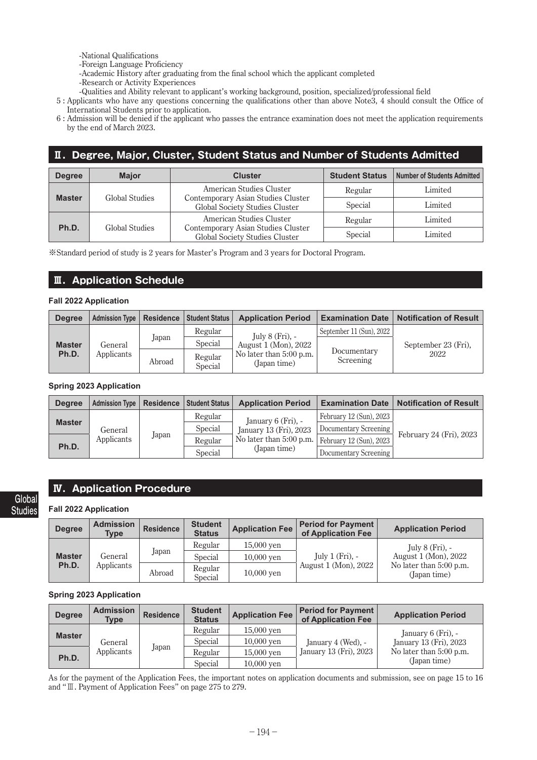-National Qualifications

- -Foreign Language Proficiency
- -Academic History after graduating from the final school which the applicant completed
- -Research or Activity Experiences
- -Qualities and Ability relevant to applicant's working background, position, specialized/professional field
- 5 : Applicants who have any questions concerning the qualifications other than above Note3, 4 should consult the Office of International Students prior to application.
- 6 : Admission will be denied if the applicant who passes the entrance examination does not meet the application requirements by the end of March 2023.

# **Ⅱ.Degree, Major, Cluster, Student Status and Number of Students Admitted**

| <b>Degree</b> | <b>Major</b>            | <b>Cluster</b>                                                              | <b>Student Status</b> | <b>Number of Students Admitted</b> |
|---------------|-------------------------|-----------------------------------------------------------------------------|-----------------------|------------------------------------|
|               |                         | American Studies Cluster                                                    | Regular               | Limited                            |
| <b>Master</b> | Global Studies          | Contemporary Asian Studies Cluster<br><b>Global Society Studies Cluster</b> | Special               | Limited                            |
|               | Ph.D.<br>Global Studies | American Studies Cluster                                                    | Regular               | Limited                            |
|               |                         | Contemporary Asian Studies Cluster<br>Global Society Studies Cluster        | Special               | Limited                            |

※ Standard period of study is 2 years for Master's Program and 3 years for Doctoral Program.

### **Ⅲ.Application Schedule**

#### **Fall 2022 Application**

| <b>Degree</b>          | <b>Admission Type</b> | <b>Residence</b> | <b>Student Status</b> | <b>Application Period</b>               | <b>Examination Date</b>  | <b>Notification of Result</b> |
|------------------------|-----------------------|------------------|-----------------------|-----------------------------------------|--------------------------|-------------------------------|
|                        |                       |                  | Regular               | July $8$ (Fri), -                       | September 11 (Sun), 2022 |                               |
| <b>Master</b><br>Ph.D. | General<br>Applicants | Japan            | Special               | August 1 (Mon), 2022                    |                          | September 23 (Fri),<br>2022   |
|                        |                       | Abroad           | Regular<br>Special    | No later than 5:00 p.m.<br>(Japan time) | Documentary<br>Screening |                               |

### **Spring 2023 Application**

| <b>Degree</b> | Admission Type | <b>Residence</b> | Student Status | <b>Application Period</b> |                         | <b>Examination Date   Notification of Result</b> |
|---------------|----------------|------------------|----------------|---------------------------|-------------------------|--------------------------------------------------|
| <b>Master</b> |                |                  | Regular        | January 6 (Fri), -        | February 12 (Sun), 2023 |                                                  |
|               | General        |                  | Special        | January 13 (Fri), 2023    | Documentary Screening   |                                                  |
| Ph.D.         | Applicants     | Japan            | Regular        | No later than 5:00 p.m.   | February 12 (Sun), 2023 | February 24 (Fri), 2023                          |
|               |                |                  | Special        | (Japan time)              | Documentary Screening   |                                                  |

### **Ⅳ.Application Procedure**

### **Fall 2022 Application**

**Global Studies**

| <b>Degree</b>          | <b>Admission</b><br><b>Type</b> | <b>Residence</b> | <b>Student</b><br><b>Status</b> | <b>Application Fee</b>       | <b>Period for Payment</b><br>of Application Fee | <b>Application Period</b>                                                              |
|------------------------|---------------------------------|------------------|---------------------------------|------------------------------|-------------------------------------------------|----------------------------------------------------------------------------------------|
| <b>Master</b><br>Ph.D. | General<br><i>Applicants</i>    | Japan            | Regular<br>Special              | $15,000$ ven<br>$10,000$ ven | July $1$ (Fri), -<br>August 1 (Mon), 2022       | July $8$ (Fri), $-$<br>August 1 (Mon), 2022<br>No later than 5:00 p.m.<br>(Japan time) |
|                        |                                 | Abroad           | Regular<br>Special              | $10,000$ ven                 |                                                 |                                                                                        |

### **Spring 2023 Application**

| <b>Degree</b> | <b>Admission</b><br><b>Type</b> | <b>Residence</b> | <b>Student</b><br><b>Status</b> | <b>Application Fee</b>     | <b>Period for Payment</b><br>of Application Fee | <b>Application Period</b>                                                               |
|---------------|---------------------------------|------------------|---------------------------------|----------------------------|-------------------------------------------------|-----------------------------------------------------------------------------------------|
| <b>Master</b> | General                         |                  | Regular<br>Special              | 15,000 yen<br>$10,000$ yen | January 4 (Wed), -<br>January 13 (Fri), 2023    | January 6 (Fri), -<br>January 13 (Fri), 2023<br>No later than 5:00 p.m.<br>(Japan time) |
| Ph.D.         | Applicants                      | Japan            | Regular<br>Special              | 15,000 yen<br>10,000 yen   |                                                 |                                                                                         |

As for the payment of the Application Fees, the important notes on application documents and submission, see on page 15 to 16 and "Ⅲ. Payment of Application Fees" on page 275 to 279.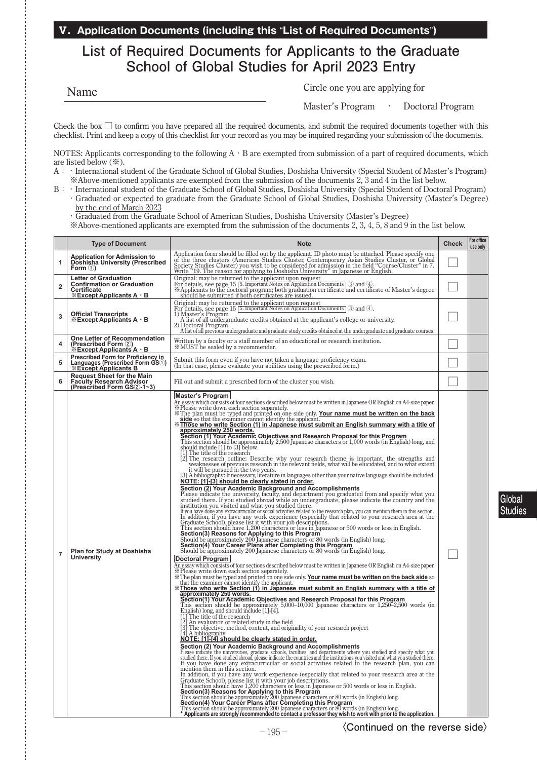# **List of Required Documents for Applicants to the Graduate School of Global Studies for April 2023 Entry**

Name

Circle one you are applying for

Master's Program · Doctoral Program

Check the box  $\square$  to confirm you have prepared all the required documents, and submit the required documents together with this checklist. Print and keep a copy of this checklist for your record as you may be inquired regarding your submission of the documents.

NOTES: Applicants corresponding to the following  $A \cdot B$  are exempted from submission of a part of required documents, which are listed below (※).

- A: International student of the Graduate School of Global Studies, Doshisha University (Special Student of Master's Program) ※ Above-mentioned applicants are exempted from the submission of the documents 2, 3 and 4 in the list below.
- B: International student of the Graduate School of Global Studies, Doshisha University (Special Student of Doctoral Program) ・ Graduated or expected to graduate from the Graduate School of Global Studies, Doshisha University (Master's Degree) by the end of March 2023
	- ・Graduated from the Graduate School of American Studies, Doshisha University (Master's Degree)
	- ※ Above-mentioned applicants are exempted from the submission of the documents 2, 3, 4, 5, 8 and 9 in the list below.

|                         | <b>Type of Document</b>                                                                                                      | <b>Note</b>                                                                                                                                                                                                                                                                                                                                                                                                                                                                                                                                                                                                                                                                                                                                                                                                                                                                                                                                                                                                                                                                                                                                                                                                                                                                                                                                                                                                                                                                                                                                                                                                                                                                                                                                                                                                                                                                                                                                                                                                                                                                                                                                                                                                                                                                                                                                                                                                                                                                                                                                                                                                                                                                                                                                                                                                                                                                                                                                                                                                                                                                                                                                                                                                                                                                                                                                                                                                                                                                                                                                                                                                                                 | <b>Check</b> | For office<br>use only |
|-------------------------|------------------------------------------------------------------------------------------------------------------------------|---------------------------------------------------------------------------------------------------------------------------------------------------------------------------------------------------------------------------------------------------------------------------------------------------------------------------------------------------------------------------------------------------------------------------------------------------------------------------------------------------------------------------------------------------------------------------------------------------------------------------------------------------------------------------------------------------------------------------------------------------------------------------------------------------------------------------------------------------------------------------------------------------------------------------------------------------------------------------------------------------------------------------------------------------------------------------------------------------------------------------------------------------------------------------------------------------------------------------------------------------------------------------------------------------------------------------------------------------------------------------------------------------------------------------------------------------------------------------------------------------------------------------------------------------------------------------------------------------------------------------------------------------------------------------------------------------------------------------------------------------------------------------------------------------------------------------------------------------------------------------------------------------------------------------------------------------------------------------------------------------------------------------------------------------------------------------------------------------------------------------------------------------------------------------------------------------------------------------------------------------------------------------------------------------------------------------------------------------------------------------------------------------------------------------------------------------------------------------------------------------------------------------------------------------------------------------------------------------------------------------------------------------------------------------------------------------------------------------------------------------------------------------------------------------------------------------------------------------------------------------------------------------------------------------------------------------------------------------------------------------------------------------------------------------------------------------------------------------------------------------------------------------------------------------------------------------------------------------------------------------------------------------------------------------------------------------------------------------------------------------------------------------------------------------------------------------------------------------------------------------------------------------------------------------------------------------------------------------------------------------------------------|--------------|------------------------|
| 1                       | <b>Application for Admission to</b><br>Doshisha University (Prescribed<br>Form $\cup$ )                                      | Application form should be filled out by the applicant. ID photo must be attached. Please specify one<br>of the three clusters (American Studies Cluster, Contemporary Asian Studies Cluster, or Global<br>Society Studies Cluster) you wish to be considered for admission in the field "Course/Cluster" in 7.<br>Write "19. The reason for applying to Doshisha University" in Japanese or English.                                                                                                                                                                                                                                                                                                                                                                                                                                                                                                                                                                                                                                                                                                                                                                                                                                                                                                                                                                                                                                                                                                                                                                                                                                                                                                                                                                                                                                                                                                                                                                                                                                                                                                                                                                                                                                                                                                                                                                                                                                                                                                                                                                                                                                                                                                                                                                                                                                                                                                                                                                                                                                                                                                                                                                                                                                                                                                                                                                                                                                                                                                                                                                                                                                       |              |                        |
| $\overline{\mathbf{2}}$ | <b>Letter of Graduation</b><br><b>Confirmation or Graduation</b><br><b>Certificate</b><br>$\&$ Except Applicants A $\cdot$ B | Original: may be returned to the applicant upon request<br>For details, see page 15 5. Important Notes on Application Documents 3 3 and 4.<br>*Applicants to the doctoral program; both graduation certificate and certificate of Master's degree<br>should be submitted if both certificates are issued.                                                                                                                                                                                                                                                                                                                                                                                                                                                                                                                                                                                                                                                                                                                                                                                                                                                                                                                                                                                                                                                                                                                                                                                                                                                                                                                                                                                                                                                                                                                                                                                                                                                                                                                                                                                                                                                                                                                                                                                                                                                                                                                                                                                                                                                                                                                                                                                                                                                                                                                                                                                                                                                                                                                                                                                                                                                                                                                                                                                                                                                                                                                                                                                                                                                                                                                                   |              |                        |
| 3                       | <b>Official Transcripts</b><br>$\&$ Except Applicants A $\cdot$ B                                                            | Original: may be returned to the applicant upon request<br>For details, see page 15   5. Important Notes on Application Documents $(3)$ and $(4)$ .<br>1) Master's Program<br>A list of all undergraduate credits obtained at the applicant's college or university.<br>2) Doctoral Program<br>A list of all previous undergraduate and graduate study credits obtained at the undergraduate and graduate courses.                                                                                                                                                                                                                                                                                                                                                                                                                                                                                                                                                                                                                                                                                                                                                                                                                                                                                                                                                                                                                                                                                                                                                                                                                                                                                                                                                                                                                                                                                                                                                                                                                                                                                                                                                                                                                                                                                                                                                                                                                                                                                                                                                                                                                                                                                                                                                                                                                                                                                                                                                                                                                                                                                                                                                                                                                                                                                                                                                                                                                                                                                                                                                                                                                          |              |                        |
| 4                       | One Letter of Recommendation<br>(Prescribed Form 2)<br>$\&$ Except Applicants $A \cdot B$                                    | Written by a faculty or a staff member of an educational or research institution.<br><b>EXALUST</b> be sealed by a recommender.                                                                                                                                                                                                                                                                                                                                                                                                                                                                                                                                                                                                                                                                                                                                                                                                                                                                                                                                                                                                                                                                                                                                                                                                                                                                                                                                                                                                                                                                                                                                                                                                                                                                                                                                                                                                                                                                                                                                                                                                                                                                                                                                                                                                                                                                                                                                                                                                                                                                                                                                                                                                                                                                                                                                                                                                                                                                                                                                                                                                                                                                                                                                                                                                                                                                                                                                                                                                                                                                                                             |              |                        |
| 5                       | Prescribed Form for Proficiency in<br>Languages (Prescribed Form GS(1)<br><b>Except Applicants B</b>                         | Submit this form even if you have not taken a language proficiency exam.<br>(In that case, please evaluate your abilities using the prescribed form.)                                                                                                                                                                                                                                                                                                                                                                                                                                                                                                                                                                                                                                                                                                                                                                                                                                                                                                                                                                                                                                                                                                                                                                                                                                                                                                                                                                                                                                                                                                                                                                                                                                                                                                                                                                                                                                                                                                                                                                                                                                                                                                                                                                                                                                                                                                                                                                                                                                                                                                                                                                                                                                                                                                                                                                                                                                                                                                                                                                                                                                                                                                                                                                                                                                                                                                                                                                                                                                                                                       |              |                        |
| 6                       | <b>Request Sheet for the Main</b><br><b>Faculty Research Advisor</b><br>(Prescribed Form GS2)-1~3)                           | Fill out and submit a prescribed form of the cluster you wish.                                                                                                                                                                                                                                                                                                                                                                                                                                                                                                                                                                                                                                                                                                                                                                                                                                                                                                                                                                                                                                                                                                                                                                                                                                                                                                                                                                                                                                                                                                                                                                                                                                                                                                                                                                                                                                                                                                                                                                                                                                                                                                                                                                                                                                                                                                                                                                                                                                                                                                                                                                                                                                                                                                                                                                                                                                                                                                                                                                                                                                                                                                                                                                                                                                                                                                                                                                                                                                                                                                                                                                              |              |                        |
| $\overline{7}$          | Plan for Study at Doshisha<br><b>University</b>                                                                              | <b>Master's Program</b><br>An essay which consists of four sections described below must be written in Japanese OR English on A4-size paper.<br>*Please write down each section separately.<br>X The plan must be typed and printed on one side only. <u>Your name must be written on the back</u><br>side so that the examiner cannot identify the applicant.<br>Those who write Section (1) in Japanese must submit an English summary<br>approximately 250 words.<br>Section (1) Your Academic Objectives and Research Proposal for this Program<br>This section should be approximately 2,500 Japanese characters or 1,000 words (in English) long, and<br>should include $[1]$ to $[3]$ below.<br>$[1]$ The title of the research<br>[2] The the other bottline: Describe why your research theme is important, the strengths and<br>weaknesses of previous research in the relevant fields, what will be elucidated, and to what extent<br>it will be pursued in the two years.<br>[3] A bibliography: If necessary, literature in languages other than your native language should be included.<br>NOTE: [1]-[3] should be clearly stated in order.<br>Section (2) Your Academic Background and Accomplishments<br>Please indicate the university, faculty, and department you graduated from and specify what you studied there. If you studied abroad while an undergraduate, please indicate the country and the<br>institution you visited and what you studied there.<br>If you have done any extracurricular or social activities related to the research plan, you can mention them in this section.<br>In addition, if you have any work experience<br>If addution, in you have any work experience (especially that related to your research area a<br>Graduate School), please list it with your job descriptions.<br>This section should have 1,200 characters or less in Japanese or 5<br>Should be approximately 200 Japanese characters or 80 words (in English) long.<br>Doctoral Program<br>An essay which consists of four sections described below must be written in Japanese OR English on A4-size paper.<br>X Please write down each section separately.<br>X Please write down each section separately.<br>X Please write down each section separately.<br>The plan must be typed and printed on one side only. <b>Your name must be written on t</b><br>Section(1) Your Academic Objectives and Research Proposal for this Program<br>This section should be approximately $5,000-10,000$ Japanese characters or $1,250-2,500$ words (in<br>English) long, and should include $[1]$ - $[4]$ .<br>$[1]$ The title of the research<br>[2] The university of related study in the field<br>[2] The objective, method, content, and originality of your research project<br>[4] A bibliography<br><b>1.1.4.2.1.1.4.2.</b><br>NOTE: [1]-[4] should be clearly stated in order.<br>Section (2) Your Academic Background and Accomplishments<br>Please indicate the universities, graduate schools, faculties, and departments where you studied and specify what you<br>studied there. If you studied abroad, please in<br>If you have done any extracurricular or social activities related to the research plan, you can<br>mention them in this section.<br>menton then in this section.<br>In addition, if you have any work experience (especially that related to your research area at the<br>Graduate School), please list it with your job descriptions.<br>This section should have 1,20<br>* Applicants are strongly recommended to contact a professor they wish to work with prior to the application. |              |                        |

**〈Continued on the reverse side〉**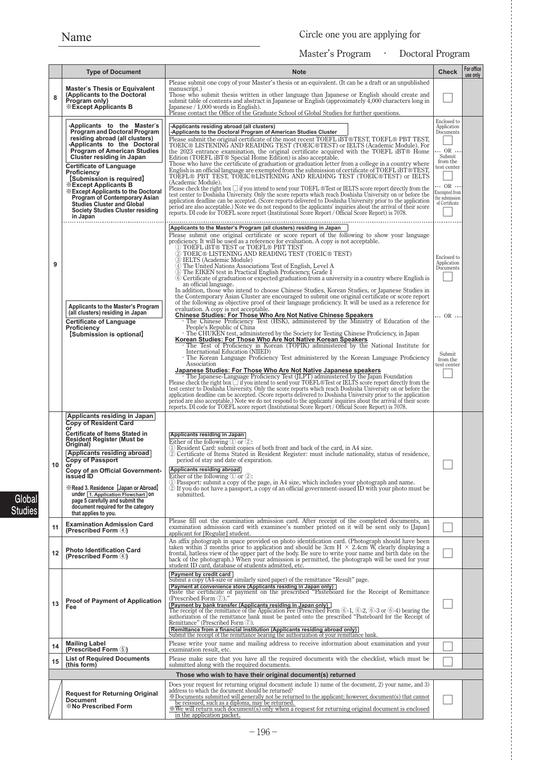Master's Program · Doctoral Program

|    | <b>Type of Document</b>                                                                                                                                                                                                                                                                                                                                                                                                                                                                             | <b>Note</b>                                                                                                                                                                                                                                                                                                                                                                                                                                                                                                                                                                                                                                                                                                                                                                                                                                                                                                                                                                                                                                                                                                                                                                                                                                                     | <b>Check</b>                                                                                                                                               | For office<br>use only |
|----|-----------------------------------------------------------------------------------------------------------------------------------------------------------------------------------------------------------------------------------------------------------------------------------------------------------------------------------------------------------------------------------------------------------------------------------------------------------------------------------------------------|-----------------------------------------------------------------------------------------------------------------------------------------------------------------------------------------------------------------------------------------------------------------------------------------------------------------------------------------------------------------------------------------------------------------------------------------------------------------------------------------------------------------------------------------------------------------------------------------------------------------------------------------------------------------------------------------------------------------------------------------------------------------------------------------------------------------------------------------------------------------------------------------------------------------------------------------------------------------------------------------------------------------------------------------------------------------------------------------------------------------------------------------------------------------------------------------------------------------------------------------------------------------|------------------------------------------------------------------------------------------------------------------------------------------------------------|------------------------|
| 8  | <b>Master's Thesis or Equivalent</b><br>(Applicants to the Doctoral<br>Program only)<br><b><i><b>Except Applicants B</b></i></b>                                                                                                                                                                                                                                                                                                                                                                    | Please submit one copy of your Master's thesis or an equivalent. (It can be a draft or an unpublished<br>manuscript.)<br>Those who submit thesis written in other language than Japanese or English should create and<br>submit table of contents and abstract in Japanese or English (approximately 4,000 characters long in<br>Japanese / 1,000 words in English).<br>Please contact the Office of the Graduate School of Global Studies for further questions.                                                                                                                                                                                                                                                                                                                                                                                                                                                                                                                                                                                                                                                                                                                                                                                               |                                                                                                                                                            |                        |
|    | -Applicants to the Master's<br><b>Program and Doctoral Program</b><br>residing abroad (all clusters)<br>-Applicants to the Doctoral<br><b>Program of American Studies</b><br>Cluster residing in Japan<br><b>Certificate of Language</b><br>Proficiency<br>[Submission is required]<br><b><i><b>Except Applicants B</b></i></b><br><b>Except Applicants to the Doctoral</b><br><b>Program of Contemporary Asian</b><br><b>Studies Cluster and Global</b><br><b>Society Studies Cluster residing</b> | -Applicants residing abroad (all clusters)<br>-Applicants to the Doctoral Program of American Studies Cluster<br>Please submit the original certificate of the most recent TOEFL iBT®TEST, TOEFL® PBT TEST,<br>TOEIC® LISTENING AND READING TEST (TOEIC®TEST) or IELTS (Academic Module). For<br>the 2023 entrance examination, the original certificate acquired with the TOEFL iBT® Home<br>Edition (TOEFL iBT® Special Home Edition) is also acceptable.<br>Those who have the certificate of graduation or graduation letter from a college in a country where<br>English is an official language are exempted from the submission of certificate of TOEFL iBT®TEST,<br>TOEFL® PBT TEST, TOEIC®LISTENING AND READING TEST (TOEIC®TEST) or IELTS<br>(Academic Module).<br>Please check the right box $\square$ if you intend to send your TOEFL $\otimes$ Test or IELTS score report directly from the<br>test center to Doshisha University. Only the score reports which reach Doshisha University on or before the<br>application deadline can be accepted. (Score reports delivered to Doshisha University prior to the application<br>period are also acceptable.) Note we do not respond to the applicants' inquiries about the arrival of their score | Enclosed to<br>Application<br>Documents<br>$-OR -$<br>Submit<br>from the<br>test center<br>$-$ OR $-$<br>Exempted from<br>the submission<br>of Certificate |                        |
| 9  | in Japan<br>Applicants to the Master's Program<br>(all clusters) residing in Japan                                                                                                                                                                                                                                                                                                                                                                                                                  | reports. DI code for TOEFL score report (Institutional Score Report / Official Score Report) is 7078.<br>Applicants to the Master's Program (all clusters) residing in Japan<br>Please submit one original certificate or score report of the following to show your language<br>proficiency. It will be used as a reference for evaluation. A copy is not acceptable. $\mathbb Q$ TOEFL iBT® TEST or TOEFL® PBT TEST<br>2) TOEIC® LISTENING AND READING TEST (TOEIC® TEST)<br>3 IELTS (Academic Module)<br>4) The United Nations Associations Test of English, Level A<br>5 The EIKEN test in Practical English Proficiency, Grade 1<br>6) Certificate of graduation or expected graduation from a university in a country where English is<br>an official language.<br>In addition, those who intend to choose Chinese Studies, Korean Studies, or Japanese Studies in<br>the Contemporary Asian Cluster are encouraged to submit one original certificate or score report<br>of the following as objective proof of their language proficiency. It will be used as a reference for<br>evaluation. A copy is not acceptable.<br><b>Chinese Studies: For Those Who Are Not Native Chinese Speakers</b>                                                         | Enclosed to<br>Application<br>Documents<br>$\cdots$ OR $\cdots$                                                                                            |                        |
|    | <b>Certificate of Language</b><br>Proficiency<br>[Submission is optional]                                                                                                                                                                                                                                                                                                                                                                                                                           | The Chinese Proficiency Test (HSK), administered by the Ministry of Education of the<br>People's Republic of China<br>The CHUKEN test, administered by the Society for Testing Chinese Proficiency, in Japan<br>Korean Studies: For Those Who Are Not Native Korean Speakers<br>The Test of Proficiency in Korean (TOPIK) administered by the National Institute for<br>International Education (NIIED)<br>The Korean Language Proficiency Test administered by the Korean Language Proficiency<br>Association<br>Japanese Studies: For Those Who Are Not Native Japanese speakers<br>The Japanese-Language Proficiency Test (JLPT) administered by the Japan Foundation<br>Please check the right box $\Box$ if you intend to send your TOEFL®Test or IELTS score report directly from the<br>test center to Doshisha University. Only the score reports which reach Doshisha University on or before the<br>application deadline can be accepted. (Score reports delivered to Doshisha University prior to the application<br>period are also acceptable.) Note we do not respond to the applicants' inquiries about the arrival of their score<br>reports. DI code for TOEFL score report (Institutional Score Report / Official Score Report) is 7078.      | Submit<br>from the<br>test center                                                                                                                          |                        |
| 10 | Applicants residing in Japan<br><b>Copy of Resident Card</b><br>or<br>Certificate of Items Stated in<br><b>Resident Register (Must be</b><br>Original)<br>Applicants residing abroad<br><b>Copy of Passport</b><br>or<br>Copy of an Official Government-<br>issued ID<br><b>Example 23. Residence [Japan or Abroad]</b><br>under 1. Application Flowchart On<br>page 5 carefully and submit the<br>document required for the category<br>that applies to you.                                       | Applicants residing in Japan<br>Either of the following $(1)$ or $(2)$ :<br>1) Resident Card: submit copies of both front and back of the card, in A4 size.<br>2 Certificate of Items Stated in Resident Register: must include nationality, status of residence,<br>period of stay and date of expiration.<br>Applicants residing abroad<br>Either of the following $(1)$ or $(2)$ :<br>(1) Passport: submit a copy of the page, in A4 size, which includes your photograph and name.<br>2 If you do not have a passport, a copy of an official government-issued ID with your photo must be<br>submitted.                                                                                                                                                                                                                                                                                                                                                                                                                                                                                                                                                                                                                                                     |                                                                                                                                                            |                        |
| 11 | <b>Examination Admission Card</b><br>(Prescribed Form 4)                                                                                                                                                                                                                                                                                                                                                                                                                                            | Please fill out the examination admission card. After receipt of the completed documents, an<br>examination admission card with examinee's number printed on it will be sent only to Hapan                                                                                                                                                                                                                                                                                                                                                                                                                                                                                                                                                                                                                                                                                                                                                                                                                                                                                                                                                                                                                                                                      |                                                                                                                                                            |                        |
| 12 | <b>Photo Identification Card</b><br>(Prescribed Form 4)                                                                                                                                                                                                                                                                                                                                                                                                                                             | applicant for [Regular] student.<br>An affix photograph in space provided on photo identification card. (Photograph should have been<br>taken within 3 months prior to application and should be 3cm H $\times$ 2.4cm W, clearly displaying a<br>frontal, hatless view of the upper part of the body. Be sure to write your name and birth date on the<br>back of the photograph.) When your admission is permitted, the photograph will be used for your<br>student ID card, database of students admitted, etc.                                                                                                                                                                                                                                                                                                                                                                                                                                                                                                                                                                                                                                                                                                                                               |                                                                                                                                                            |                        |
| 13 | <b>Proof of Payment of Application</b><br>Fee                                                                                                                                                                                                                                                                                                                                                                                                                                                       | Payment by credit card<br>Submit a copy (A4-size or similarly sized paper) of the remittance "Result" page.<br><b>Payment at convenience store (Applicants residing in Japan only)</b><br>Paste the certificate of payment on the prescribed "Pasteboard for the Receipt of Remittance<br>(Prescribed Form (7))."<br>Payment by bank transfer (Applicants residing in Japan only)<br>The receipt of the remittance of the Application Fee (Prescribed Form $(6-1, 6-2, 6-3)$ or $(6-4)$ ) bearing the<br>authorization of the remittance bank must be pasted onto the prescribed "Pasteboard for the Receipt of<br>Remittance" (Prescribed Form (7)).<br>Remittance from a financial institution (Applicants residing abroad only)<br>Submit the receipt of the remittance bearing the authorization of your remittance bank.                                                                                                                                                                                                                                                                                                                                                                                                                                   |                                                                                                                                                            |                        |
| 14 | <b>Mailing Label</b><br>(Prescribed Form 5)                                                                                                                                                                                                                                                                                                                                                                                                                                                         | Please write your name and mailing address to receive information about examination and your<br>examination result, etc.                                                                                                                                                                                                                                                                                                                                                                                                                                                                                                                                                                                                                                                                                                                                                                                                                                                                                                                                                                                                                                                                                                                                        |                                                                                                                                                            |                        |
| 15 | <b>List of Required Documents</b><br>(this form)                                                                                                                                                                                                                                                                                                                                                                                                                                                    | Please make sure that you have all the required documents with the checklist, which must be<br>submitted along with the required documents.                                                                                                                                                                                                                                                                                                                                                                                                                                                                                                                                                                                                                                                                                                                                                                                                                                                                                                                                                                                                                                                                                                                     |                                                                                                                                                            |                        |
|    |                                                                                                                                                                                                                                                                                                                                                                                                                                                                                                     | Those who wish to have their original document(s) returned                                                                                                                                                                                                                                                                                                                                                                                                                                                                                                                                                                                                                                                                                                                                                                                                                                                                                                                                                                                                                                                                                                                                                                                                      |                                                                                                                                                            |                        |
|    | <b>Request for Returning Original</b><br><b>Document</b><br><b>XNo Prescribed Form</b>                                                                                                                                                                                                                                                                                                                                                                                                              | Does your request for returning original document include 1) name of the document, 2) your name, and 3)<br>address to which the document should be returned?<br>* Documents submitted will generally not be returned to the applicant; however, document(s) that cannot<br>be reissued, such as a diploma, may be returned.<br>We will return such document(s) only when a request for returning original document is enclosed<br>in the application packet.                                                                                                                                                                                                                                                                                                                                                                                                                                                                                                                                                                                                                                                                                                                                                                                                    |                                                                                                                                                            |                        |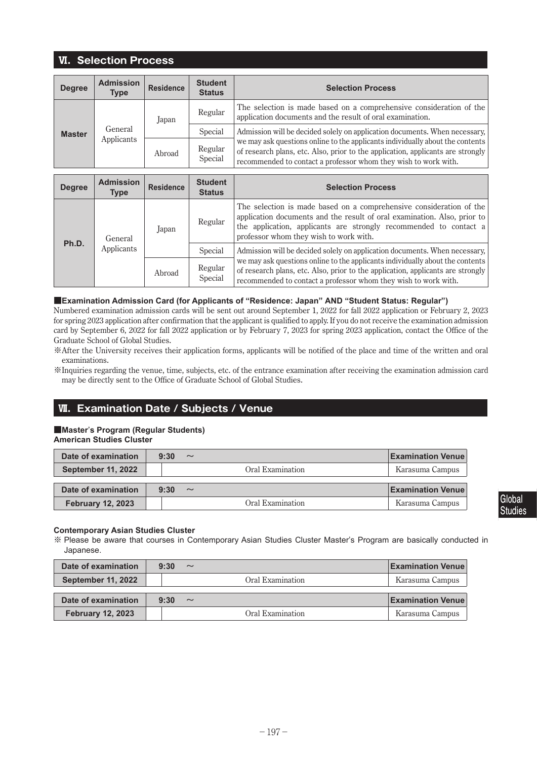# **Ⅵ.Selection Process**

| <b>Degree</b> | <b>Admission</b><br><b>Type</b> | <b>Residence</b> | <b>Student</b><br><b>Status</b> | <b>Selection Process</b>                                                                                                                                                                                                            |
|---------------|---------------------------------|------------------|---------------------------------|-------------------------------------------------------------------------------------------------------------------------------------------------------------------------------------------------------------------------------------|
| <b>Master</b> | General<br>Applicants           | Japan            | Regular                         | The selection is made based on a comprehensive consideration of the<br>application documents and the result of oral examination.                                                                                                    |
|               |                                 |                  | Special                         | Admission will be decided solely on application documents. When necessary,                                                                                                                                                          |
|               |                                 | Abroad           | Regular<br>Special              | we may ask questions online to the applicants individually about the contents<br>of research plans, etc. Also, prior to the application, applicants are strongly<br>recommended to contact a professor whom they wish to work with. |

| <b>Degree</b> | <b>Admission</b><br><b>Type</b> | <b>Residence</b> | <b>Student</b><br><b>Status</b> | <b>Selection Process</b>                                                                                                                                                                                                                                       |
|---------------|---------------------------------|------------------|---------------------------------|----------------------------------------------------------------------------------------------------------------------------------------------------------------------------------------------------------------------------------------------------------------|
|               | General                         | Japan            | Regular                         | The selection is made based on a comprehensive consideration of the<br>application documents and the result of oral examination. Also, prior to<br>the application, applicants are strongly recommended to contact a<br>professor whom they wish to work with. |
| Ph.D.         | Applicants                      |                  | Special                         | Admission will be decided solely on application documents. When necessary,                                                                                                                                                                                     |
|               |                                 |                  | Abroad                          | Regular<br>Special                                                                                                                                                                                                                                             |

#### **■Examination Admission Card (for Applicants of "Residence: Japan" AND "Student Status: Regular")**

Numbered examination admission cards will be sent out around September 1, 2022 for fall 2022 application or February 2, 2023 for spring 2023 application after confirmation that the applicant is qualified to apply. If you do not receive the examination admission card by September 6, 2022 for fall 2022 application or by February 7, 2023 for spring 2023 application, contact the Office of the Graduate School of Global Studies.

- ※ After the University receives their application forms, applicants will be notified of the place and time of the written and oral examinations.
- ※ Inquiries regarding the venue, time, subjects, etc. of the entrance examination after receiving the examination admission card may be directly sent to the Office of Graduate School of Global Studies.

# **Ⅶ.Examination Date / Subjects / Venue**

### **■Master**'**s Program (Regular Students)**

**American Studies Cluster**

| Date of examination       | 9:30 | $\sim$           | <b>Examination Venue</b> |
|---------------------------|------|------------------|--------------------------|
| <b>September 11, 2022</b> |      | Oral Examination | Karasuma Campus          |
|                           |      |                  |                          |
|                           |      |                  |                          |
| Date of examination       | 9:30 | $\sim$           | <b>Examination Venue</b> |

### **Contemporary Asian Studies Cluster**

**※** Please be aware that courses in Contemporary Asian Studies Cluster Master's Program are basically conducted in Japanese.

| Date of examination       | 9:30 | $\sim$           | <b>Examination Venue</b> |
|---------------------------|------|------------------|--------------------------|
| <b>September 11, 2022</b> |      | Oral Examination | Karasuma Campus          |
| Date of examination       | 9:30 | $\sim$           | <b>Examination Venue</b> |
| <b>February 12, 2023</b>  |      | Oral Examination | Karasuma Campus          |